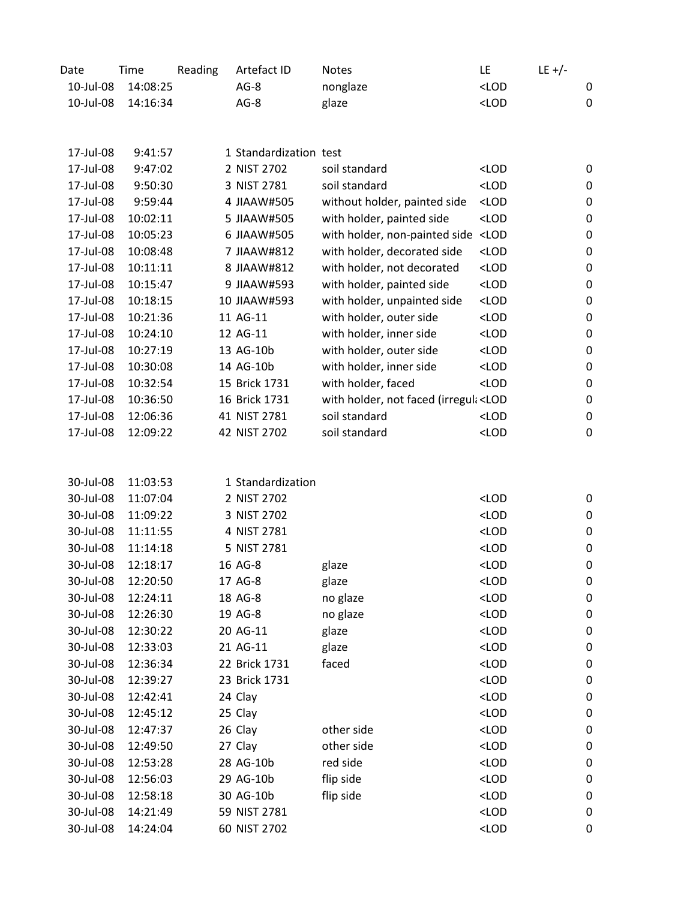| Date      | Time     | Reading | Artefact ID            | <b>Notes</b>                                                                                       | LE                                                               | $LE +/-$ |                  |
|-----------|----------|---------|------------------------|----------------------------------------------------------------------------------------------------|------------------------------------------------------------------|----------|------------------|
| 10-Jul-08 | 14:08:25 |         | $AG-8$                 | nonglaze                                                                                           | $<$ LOD                                                          |          | 0                |
| 10-Jul-08 | 14:16:34 |         | $AG-8$                 | glaze                                                                                              | $<$ LOD                                                          |          | $\boldsymbol{0}$ |
|           |          |         |                        |                                                                                                    |                                                                  |          |                  |
|           |          |         |                        |                                                                                                    |                                                                  |          |                  |
| 17-Jul-08 | 9:41:57  |         | 1 Standardization test |                                                                                                    |                                                                  |          |                  |
| 17-Jul-08 | 9:47:02  |         | 2 NIST 2702            | soil standard                                                                                      | $<$ LOD                                                          |          | 0                |
| 17-Jul-08 | 9:50:30  |         | 3 NIST 2781            | soil standard                                                                                      | $<$ LOD                                                          |          | 0                |
| 17-Jul-08 | 9:59:44  |         | 4 JIAAW#505            | without holder, painted side                                                                       | $<$ LOD                                                          |          | 0                |
| 17-Jul-08 | 10:02:11 |         | 5 JIAAW#505            | with holder, painted side                                                                          | $<$ LOD                                                          |          | $\mathbf 0$      |
| 17-Jul-08 | 10:05:23 |         | 6 JIAAW#505            | with holder, non-painted side <lod< td=""><td></td><td></td><td><math>\mathbf 0</math></td></lod<> |                                                                  |          | $\mathbf 0$      |
| 17-Jul-08 | 10:08:48 |         | 7 JIAAW#812            | with holder, decorated side                                                                        | $<$ LOD                                                          |          | 0                |
| 17-Jul-08 | 10:11:11 |         | 8 JIAAW#812            | with holder, not decorated                                                                         | $<$ LOD                                                          |          | 0                |
| 17-Jul-08 | 10:15:47 |         | 9 JIAAW#593            | with holder, painted side                                                                          | $<$ LOD                                                          |          | 0                |
| 17-Jul-08 | 10:18:15 |         | 10 JIAAW#593           | with holder, unpainted side                                                                        | $<$ LOD                                                          |          | $\mathbf 0$      |
| 17-Jul-08 | 10:21:36 |         | 11 AG-11               | with holder, outer side                                                                            | <lod< td=""><td></td><td><math>\boldsymbol{0}</math></td></lod<> |          | $\boldsymbol{0}$ |
| 17-Jul-08 | 10:24:10 |         | 12 AG-11               | with holder, inner side                                                                            | $<$ LOD                                                          |          | $\mathbf 0$      |
| 17-Jul-08 | 10:27:19 |         | 13 AG-10b              | with holder, outer side                                                                            | $<$ LOD                                                          |          | $\mathbf 0$      |
| 17-Jul-08 | 10:30:08 |         | 14 AG-10b              | with holder, inner side                                                                            | $<$ LOD                                                          |          | 0                |
| 17-Jul-08 | 10:32:54 |         | 15 Brick 1731          | with holder, faced                                                                                 | $<$ LOD                                                          |          | 0                |
| 17-Jul-08 | 10:36:50 |         | 16 Brick 1731          | with holder, not faced (irregul <lod< td=""><td></td><td></td><td>0</td></lod<>                    |                                                                  |          | 0                |
| 17-Jul-08 | 12:06:36 |         | 41 NIST 2781           | soil standard                                                                                      | $<$ LOD                                                          |          | $\pmb{0}$        |
| 17-Jul-08 | 12:09:22 |         | 42 NIST 2702           | soil standard                                                                                      | $<$ LOD                                                          |          | 0                |
|           |          |         |                        |                                                                                                    |                                                                  |          |                  |
|           |          |         |                        |                                                                                                    |                                                                  |          |                  |
| 30-Jul-08 | 11:03:53 |         | 1 Standardization      |                                                                                                    |                                                                  |          |                  |
| 30-Jul-08 | 11:07:04 |         | 2 NIST 2702            |                                                                                                    | $<$ LOD                                                          |          | 0                |
| 30-Jul-08 | 11:09:22 |         | 3 NIST 2702            |                                                                                                    | $<$ LOD                                                          |          | 0                |
| 30-Jul-08 | 11:11:55 |         | 4 NIST 2781            |                                                                                                    | $<$ LOD                                                          |          | 0                |
| 30-Jul-08 | 11:14:18 |         | 5 NIST 2781            |                                                                                                    | $<$ LOD                                                          |          | $\mathbf 0$      |
| 30-Jul-08 | 12:18:17 |         | 16 AG-8                | glaze                                                                                              | $<$ LOD                                                          |          | 0                |
| 30-Jul-08 | 12:20:50 |         | 17 AG-8                | glaze                                                                                              | <lod< td=""><td></td><td>0</td></lod<>                           |          | 0                |
| 30-Jul-08 | 12:24:11 |         | 18 AG-8                | no glaze                                                                                           | $<$ LOD                                                          |          | 0                |
| 30-Jul-08 | 12:26:30 |         | 19 AG-8                | no glaze                                                                                           | $<$ LOD                                                          |          | 0                |
| 30-Jul-08 | 12:30:22 |         | 20 AG-11               | glaze                                                                                              | $<$ LOD                                                          |          | 0                |
| 30-Jul-08 | 12:33:03 |         | 21 AG-11               | glaze                                                                                              | $<$ LOD                                                          |          | 0                |
| 30-Jul-08 | 12:36:34 |         | 22 Brick 1731          | faced                                                                                              | $<$ LOD                                                          |          | 0                |
| 30-Jul-08 | 12:39:27 |         | 23 Brick 1731          |                                                                                                    | $<$ LOD                                                          |          | 0                |
| 30-Jul-08 | 12:42:41 |         | 24 Clay                |                                                                                                    | $<$ LOD                                                          |          | 0                |
| 30-Jul-08 | 12:45:12 |         | 25 Clay                |                                                                                                    | $<$ LOD                                                          |          | 0                |
| 30-Jul-08 | 12:47:37 |         | 26 Clay                | other side                                                                                         | $<$ LOD                                                          |          | 0                |
| 30-Jul-08 | 12:49:50 |         | 27 Clay                | other side                                                                                         | $<$ LOD                                                          |          | 0                |
| 30-Jul-08 | 12:53:28 |         | 28 AG-10b              | red side                                                                                           | $<$ LOD                                                          |          | 0                |
| 30-Jul-08 | 12:56:03 |         | 29 AG-10b              | flip side                                                                                          | $<$ LOD                                                          |          | 0                |
| 30-Jul-08 | 12:58:18 |         | 30 AG-10b              | flip side                                                                                          | $<$ LOD                                                          |          | 0                |
| 30-Jul-08 | 14:21:49 |         | 59 NIST 2781           |                                                                                                    | $<$ LOD                                                          |          | 0                |
| 30-Jul-08 | 14:24:04 |         | 60 NIST 2702           |                                                                                                    | $<$ LOD                                                          |          | 0                |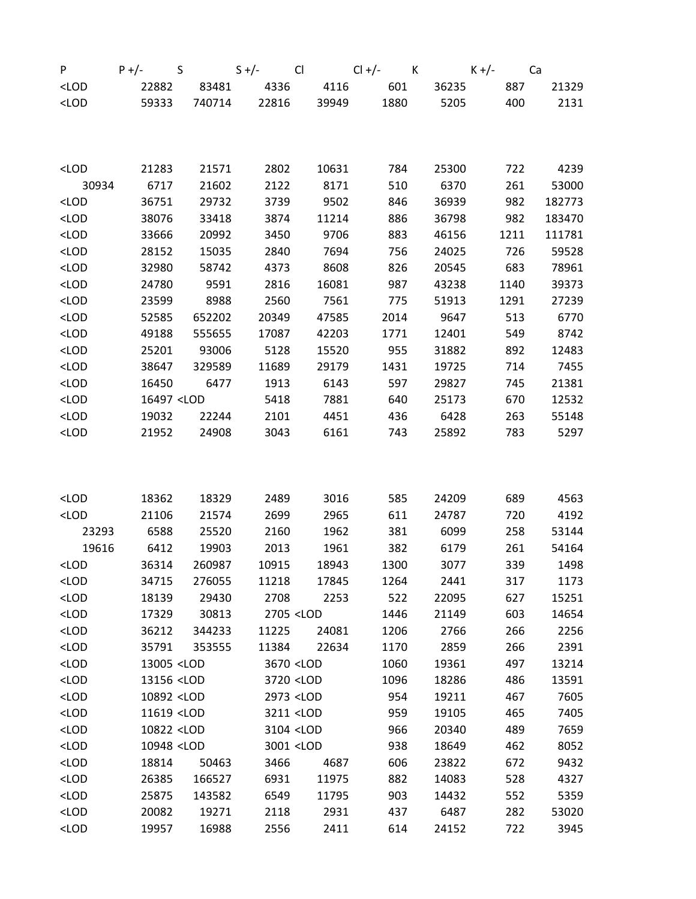| P                                                                                                                             | S<br>$P +/-$                                                                                                                      |        | $S +/-$ Cl |                                                                               | $Cl +/-$ K K +/- |       | Ca   |        |
|-------------------------------------------------------------------------------------------------------------------------------|-----------------------------------------------------------------------------------------------------------------------------------|--------|------------|-------------------------------------------------------------------------------|------------------|-------|------|--------|
| $<$ LOD                                                                                                                       | 22882                                                                                                                             | 83481  | 4336       | 4116                                                                          | 601              | 36235 | 887  | 21329  |
| $<$ LOD                                                                                                                       | 59333                                                                                                                             | 740714 | 22816      | 39949                                                                         | 1880             | 5205  | 400  | 2131   |
|                                                                                                                               |                                                                                                                                   |        |            |                                                                               |                  |       |      |        |
|                                                                                                                               |                                                                                                                                   |        |            |                                                                               |                  |       |      |        |
|                                                                                                                               |                                                                                                                                   |        |            |                                                                               |                  |       |      |        |
| <lod< td=""><td>21283</td><td>21571</td><td>2802</td><td>10631</td><td>784</td><td>25300</td><td>722</td><td>4239</td></lod<> | 21283                                                                                                                             | 21571  | 2802       | 10631                                                                         | 784              | 25300 | 722  | 4239   |
| 30934                                                                                                                         | 6717                                                                                                                              | 21602  | 2122       | 8171                                                                          | 510              | 6370  | 261  | 53000  |
| $<$ LOD                                                                                                                       | 36751                                                                                                                             | 29732  | 3739       | 9502                                                                          | 846              | 36939 | 982  | 182773 |
| $<$ LOD                                                                                                                       | 38076                                                                                                                             | 33418  | 3874       | 11214                                                                         | 886              | 36798 | 982  | 183470 |
| $<$ LOD                                                                                                                       | 33666                                                                                                                             | 20992  | 3450       | 9706                                                                          | 883              | 46156 | 1211 | 111781 |
| $<$ LOD                                                                                                                       | 28152                                                                                                                             | 15035  | 2840       | 7694                                                                          | 756              | 24025 | 726  | 59528  |
| $<$ LOD                                                                                                                       | 32980                                                                                                                             | 58742  | 4373       | 8608                                                                          | 826              | 20545 | 683  | 78961  |
| $<$ LOD                                                                                                                       | 24780                                                                                                                             | 9591   | 2816       | 16081                                                                         | 987              | 43238 | 1140 | 39373  |
| $<$ LOD                                                                                                                       | 23599                                                                                                                             | 8988   | 2560       | 7561                                                                          | 775              | 51913 | 1291 | 27239  |
| $<$ LOD                                                                                                                       | 52585                                                                                                                             | 652202 | 20349      | 47585                                                                         | 2014             | 9647  | 513  | 6770   |
| $<$ LOD                                                                                                                       | 49188                                                                                                                             | 555655 | 17087      | 42203                                                                         | 1771             | 12401 | 549  | 8742   |
| $<$ LOD                                                                                                                       | 25201                                                                                                                             | 93006  | 5128       | 15520                                                                         | 955              | 31882 | 892  | 12483  |
| $<$ LOD                                                                                                                       | 38647                                                                                                                             | 329589 | 11689      | 29179                                                                         | 1431             | 19725 | 714  | 7455   |
| $<$ LOD                                                                                                                       | 16450                                                                                                                             | 6477   | 1913       | 6143                                                                          | 597              | 29827 | 745  | 21381  |
| $<$ LOD                                                                                                                       | 16497 <lod< td=""><td></td><td>5418</td><td>7881</td><td>640</td><td>25173</td><td>670</td><td>12532</td></lod<>                  |        | 5418       | 7881                                                                          | 640              | 25173 | 670  | 12532  |
| $<$ LOD                                                                                                                       | 19032                                                                                                                             | 22244  | 2101       | 4451                                                                          | 436              | 6428  | 263  | 55148  |
| $<$ LOD                                                                                                                       | 21952                                                                                                                             | 24908  | 3043       | 6161                                                                          | 743              | 25892 | 783  | 5297   |
|                                                                                                                               |                                                                                                                                   |        |            |                                                                               |                  |       |      |        |
|                                                                                                                               |                                                                                                                                   |        |            |                                                                               |                  |       |      |        |
|                                                                                                                               |                                                                                                                                   |        |            |                                                                               |                  |       |      |        |
| $<$ LOD                                                                                                                       | 18362                                                                                                                             | 18329  | 2489       | 3016                                                                          | 585              | 24209 | 689  | 4563   |
| $<$ LOD                                                                                                                       | 21106                                                                                                                             | 21574  | 2699       | 2965                                                                          | 611              | 24787 | 720  | 4192   |
| 23293                                                                                                                         | 6588                                                                                                                              | 25520  | 2160       | 1962                                                                          | 381              | 6099  | 258  | 53144  |
| 19616                                                                                                                         | 6412                                                                                                                              | 19903  | 2013       | 1961                                                                          | 382              | 6179  | 261  | 54164  |
| $<$ LOD                                                                                                                       | 36314                                                                                                                             | 260987 | 10915      | 18943                                                                         | 1300             | 3077  | 339  | 1498   |
| $<$ LOD                                                                                                                       | 34715                                                                                                                             | 276055 | 11218      | 17845                                                                         | 1264             | 2441  | 317  | 1173   |
| $<$ LOD                                                                                                                       | 18139                                                                                                                             | 29430  | 2708       | 2253                                                                          | 522              | 22095 | 627  | 15251  |
| $<$ LOD                                                                                                                       | 17329                                                                                                                             | 30813  |            | 2705 <lod< td=""><td>1446</td><td>21149</td><td>603</td><td>14654</td></lod<> | 1446             | 21149 | 603  | 14654  |
| $<$ LOD                                                                                                                       | 36212                                                                                                                             | 344233 | 11225      | 24081                                                                         | 1206             | 2766  | 266  | 2256   |
| $<$ LOD                                                                                                                       | 35791                                                                                                                             | 353555 | 11384      | 22634                                                                         | 1170             | 2859  | 266  | 2391   |
| $<$ LOD                                                                                                                       | 13005 <lod< td=""><td></td><td></td><td>3670 <lod< td=""><td>1060</td><td>19361</td><td>497</td><td>13214</td></lod<></td></lod<> |        |            | 3670 <lod< td=""><td>1060</td><td>19361</td><td>497</td><td>13214</td></lod<> | 1060             | 19361 | 497  | 13214  |
| $<$ LOD                                                                                                                       | 13156 <lod< td=""><td></td><td></td><td>3720 <lod< td=""><td>1096</td><td>18286</td><td>486</td><td>13591</td></lod<></td></lod<> |        |            | 3720 <lod< td=""><td>1096</td><td>18286</td><td>486</td><td>13591</td></lod<> | 1096             | 18286 | 486  | 13591  |
| $<$ LOD                                                                                                                       | 10892 <lod< td=""><td></td><td></td><td>2973 <lod< td=""><td>954</td><td>19211</td><td>467</td><td>7605</td></lod<></td></lod<>   |        |            | 2973 <lod< td=""><td>954</td><td>19211</td><td>467</td><td>7605</td></lod<>   | 954              | 19211 | 467  | 7605   |
| $<$ LOD                                                                                                                       | 11619 <lod< td=""><td></td><td></td><td>3211 <lod< td=""><td>959</td><td>19105</td><td>465</td><td>7405</td></lod<></td></lod<>   |        |            | 3211 <lod< td=""><td>959</td><td>19105</td><td>465</td><td>7405</td></lod<>   | 959              | 19105 | 465  | 7405   |
| $<$ LOD                                                                                                                       | 10822 <lod< td=""><td></td><td></td><td>3104 <lod< td=""><td>966</td><td>20340</td><td>489</td><td>7659</td></lod<></td></lod<>   |        |            | 3104 <lod< td=""><td>966</td><td>20340</td><td>489</td><td>7659</td></lod<>   | 966              | 20340 | 489  | 7659   |
| $<$ LOD                                                                                                                       | 10948 <lod< td=""><td></td><td></td><td>3001 <lod< td=""><td>938</td><td>18649</td><td>462</td><td>8052</td></lod<></td></lod<>   |        |            | 3001 <lod< td=""><td>938</td><td>18649</td><td>462</td><td>8052</td></lod<>   | 938              | 18649 | 462  | 8052   |
| $<$ LOD                                                                                                                       | 18814                                                                                                                             | 50463  | 3466       | 4687                                                                          | 606              | 23822 | 672  | 9432   |
| $<$ LOD                                                                                                                       | 26385                                                                                                                             | 166527 | 6931       | 11975                                                                         | 882              | 14083 | 528  | 4327   |
| $<$ LOD                                                                                                                       | 25875                                                                                                                             | 143582 | 6549       | 11795                                                                         | 903              | 14432 | 552  | 5359   |
| $<$ LOD                                                                                                                       | 20082                                                                                                                             | 19271  | 2118       | 2931                                                                          | 437              | 6487  | 282  | 53020  |
| $<$ LOD                                                                                                                       | 19957                                                                                                                             | 16988  | 2556       | 2411                                                                          | 614              | 24152 | 722  | 3945   |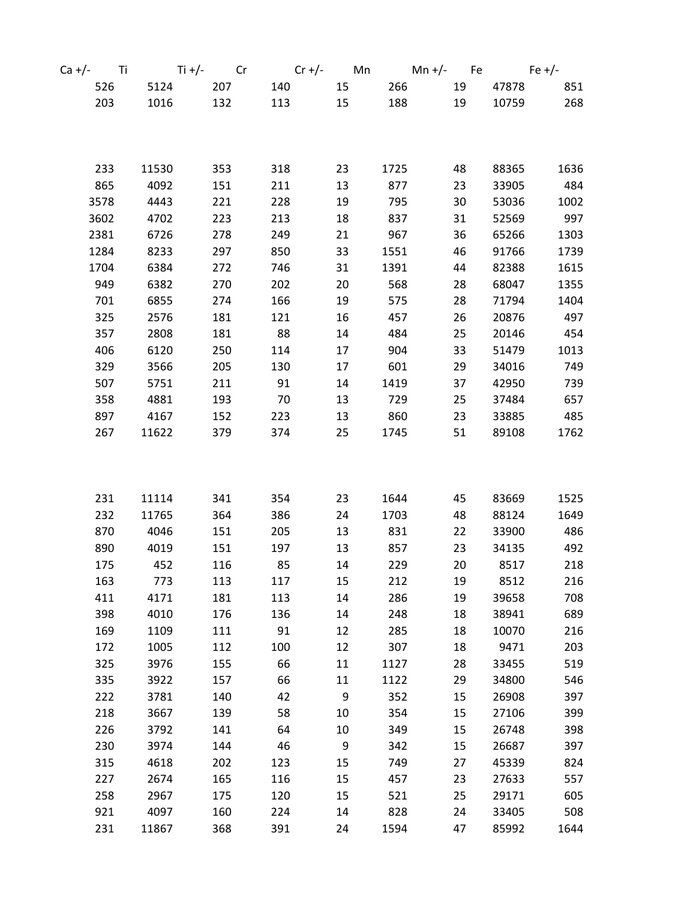| Ca +/- Ti |       | $Ti +/-$ Cr |     |    |           | $Cr +/-$ Mn Mn +/- Fe Fe +/- |       |      |
|-----------|-------|-------------|-----|----|-----------|------------------------------|-------|------|
| 526       | 5124  | 207         | 140 |    | 15<br>266 | 19                           | 47878 | 851  |
| 203       | 1016  | 132         | 113 | 15 | 188       | 19                           | 10759 | 268  |
|           |       |             |     |    |           |                              |       |      |
|           |       |             |     |    |           |                              |       |      |
|           |       |             |     |    |           |                              |       |      |
| 233       | 11530 | 353         | 318 | 23 | 1725      | 48                           | 88365 | 1636 |
| 865       | 4092  | 151         | 211 | 13 | 877       | 23                           | 33905 | 484  |
| 3578      | 4443  | 221         | 228 | 19 | 795       | 30                           | 53036 | 1002 |
| 3602      | 4702  | 223         | 213 | 18 | 837       | 31                           | 52569 | 997  |
| 2381      | 6726  | 278         | 249 | 21 | 967       | 36                           | 65266 | 1303 |
| 1284      | 8233  | 297         | 850 | 33 | 1551      | 46                           | 91766 | 1739 |
| 1704      | 6384  | 272         | 746 | 31 | 1391      | 44                           | 82388 | 1615 |
| 949       | 6382  | 270         | 202 | 20 | 568       | 28                           | 68047 | 1355 |
| 701       | 6855  | 274         | 166 | 19 | 575       | 28                           | 71794 | 1404 |
| 325       | 2576  | 181         | 121 | 16 | 457       | 26                           | 20876 | 497  |
| 357       | 2808  | 181         | 88  | 14 | 484       | 25                           | 20146 | 454  |
| 406       | 6120  | 250         | 114 | 17 | 904       | 33                           | 51479 | 1013 |
| 329       | 3566  | 205         | 130 | 17 | 601       | 29                           | 34016 | 749  |
| 507       | 5751  | 211         | 91  | 14 | 1419      | 37                           | 42950 | 739  |
| 358       | 4881  | 193         | 70  | 13 | 729       | 25                           | 37484 | 657  |
| 897       | 4167  | 152         | 223 | 13 | 860       | 23                           | 33885 | 485  |
| 267       | 11622 | 379         | 374 | 25 | 1745      | 51                           | 89108 | 1762 |
|           |       |             |     |    |           |                              |       |      |
|           |       |             |     |    |           |                              |       |      |
| 231       | 11114 | 341         | 354 | 23 | 1644      | 45                           | 83669 | 1525 |
| 232       | 11765 | 364         | 386 | 24 | 1703      | 48                           | 88124 | 1649 |
| 870       | 4046  | 151         | 205 | 13 | 831       | 22                           | 33900 | 486  |
| 890       | 4019  | 151         | 197 | 13 | 857       | 23                           | 34135 | 492  |
| 175       | 452   | 116         | 85  | 14 | 229       | 20                           | 8517  | 218  |
| 163       | 773   | 113         | 117 | 15 | 212       | 19                           | 8512  | 216  |
| 411       | 4171  | 181         | 113 | 14 | 286       | 19                           | 39658 | 708  |
| 398       | 4010  | 176         | 136 | 14 | 248       | 18                           | 38941 | 689  |
| 169       | 1109  | 111         | 91  | 12 | 285       | 18                           | 10070 | 216  |
| 172       | 1005  | 112         | 100 | 12 | 307       | 18                           | 9471  | 203  |
| 325       | 3976  | 155         | 66  | 11 | 1127      | 28                           | 33455 | 519  |
| 335       | 3922  | 157         | 66  | 11 | 1122      | 29                           | 34800 | 546  |
| 222       | 3781  | 140         | 42  | 9  | 352       | 15                           | 26908 | 397  |
| 218       | 3667  | 139         | 58  | 10 | 354       | 15                           | 27106 | 399  |
| 226       | 3792  | 141         | 64  | 10 | 349       | 15                           | 26748 | 398  |
| 230       | 3974  | 144         | 46  | 9  | 342       | 15                           | 26687 | 397  |
| 315       | 4618  | 202         | 123 | 15 | 749       | 27                           | 45339 | 824  |
| 227       | 2674  | 165         | 116 | 15 | 457       | 23                           | 27633 | 557  |
| 258       | 2967  | 175         | 120 | 15 | 521       | 25                           | 29171 | 605  |
| 921       | 4097  | 160         | 224 | 14 | 828       | 24                           | 33405 | 508  |
| 231       | 11867 | 368         | 391 | 24 | 1594      | 47                           | 85992 | 1644 |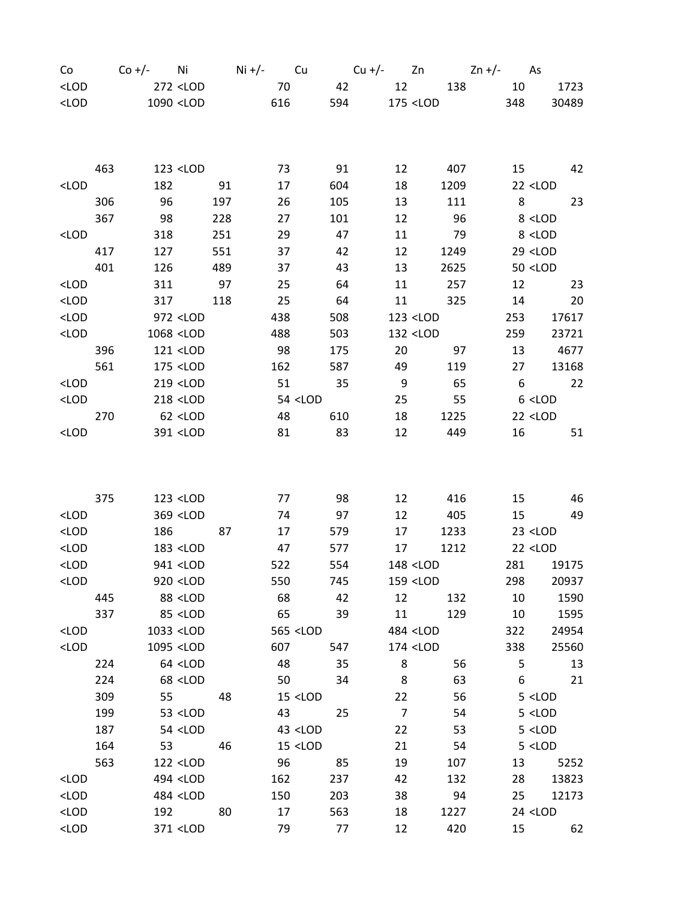| Co                                                                                                                                                                                          |     |                                                                                                                                                                    |                                                                                                                                                                          |     |     |    |                                                                                                                      |     |       |                |                                                        | $Co +/-$ Ni Ni+/- Cu Cu+/- Zn Zn+/- As |                          |
|---------------------------------------------------------------------------------------------------------------------------------------------------------------------------------------------|-----|--------------------------------------------------------------------------------------------------------------------------------------------------------------------|--------------------------------------------------------------------------------------------------------------------------------------------------------------------------|-----|-----|----|----------------------------------------------------------------------------------------------------------------------|-----|-------|----------------|--------------------------------------------------------|----------------------------------------|--------------------------|
| $<$ LOD                                                                                                                                                                                     |     |                                                                                                                                                                    | 272 <lod< td=""><td></td><td>70</td><td></td><td></td><td>42</td><td></td><td></td><td></td><td>12 138 10</td><td>1723</td></lod<>                                       |     | 70  |    |                                                                                                                      | 42  |       |                |                                                        | 12 138 10                              | 1723                     |
| $<$ LOD                                                                                                                                                                                     |     | 1090 <lod< td=""><td></td><td></td><td>616</td><td></td><td></td><td></td><td>594 7</td><td></td><td>175 <lod< td=""><td>348</td><td>30489</td></lod<></td></lod<> |                                                                                                                                                                          |     | 616 |    |                                                                                                                      |     | 594 7 |                | 175 <lod< td=""><td>348</td><td>30489</td></lod<>      | 348                                    | 30489                    |
|                                                                                                                                                                                             |     |                                                                                                                                                                    |                                                                                                                                                                          |     |     |    |                                                                                                                      |     |       |                |                                                        |                                        |                          |
|                                                                                                                                                                                             |     |                                                                                                                                                                    |                                                                                                                                                                          |     |     |    |                                                                                                                      |     |       |                |                                                        |                                        |                          |
|                                                                                                                                                                                             |     |                                                                                                                                                                    |                                                                                                                                                                          |     |     |    |                                                                                                                      |     |       |                |                                                        |                                        |                          |
|                                                                                                                                                                                             | 463 |                                                                                                                                                                    | 123 <lod< td=""><td></td><td></td><td>73</td><td></td><td>91</td><td></td><td>12</td><td>407</td><td></td><td>15 (1)<br/>42</td></lod<>                                  |     |     | 73 |                                                                                                                      | 91  |       | 12             | 407                                                    |                                        | 15 (1)<br>42             |
| <lod< td=""><td></td><td>182</td><td></td><td>91</td><td></td><td>17</td><td></td><td>604</td><td></td><td>18</td><td>1209</td><td></td><td><math>22</math> <lod< td=""></lod<></td></lod<> |     | 182                                                                                                                                                                |                                                                                                                                                                          | 91  |     | 17 |                                                                                                                      | 604 |       | 18             | 1209                                                   |                                        | $22$ <lod< td=""></lod<> |
|                                                                                                                                                                                             | 306 | 96                                                                                                                                                                 |                                                                                                                                                                          | 197 |     | 26 |                                                                                                                      | 105 |       | 13             | 111                                                    | 8                                      | 23                       |
|                                                                                                                                                                                             | 367 | - 98                                                                                                                                                               |                                                                                                                                                                          | 228 |     | 27 |                                                                                                                      | 101 |       | 12             | 96                                                     |                                        | 8 <lod< td=""></lod<>    |
| <lod< td=""><td></td><td>318</td><td></td><td>251</td><td></td><td>29</td><td></td><td>47</td><td></td><td>11</td><td>79</td><td></td><td>8 <lod< td=""></lod<></td></lod<>                 |     | 318                                                                                                                                                                |                                                                                                                                                                          | 251 |     | 29 |                                                                                                                      | 47  |       | 11             | 79                                                     |                                        | 8 <lod< td=""></lod<>    |
|                                                                                                                                                                                             | 417 | 127                                                                                                                                                                |                                                                                                                                                                          | 551 |     | 37 |                                                                                                                      | 42  |       | 12             | 1249                                                   |                                        | $29$ < LOD               |
|                                                                                                                                                                                             | 401 | 126                                                                                                                                                                |                                                                                                                                                                          | 489 |     | 37 |                                                                                                                      | 43  |       | 13             | 2625                                                   |                                        | $50$ <lod< td=""></lod<> |
| <lod< td=""><td></td><td>311</td><td></td><td>97</td><td></td><td>25</td><td></td><td>64</td><td></td><td>11</td><td>257</td><td>12</td><td>23</td></lod<>                                  |     | 311                                                                                                                                                                |                                                                                                                                                                          | 97  |     | 25 |                                                                                                                      | 64  |       | 11             | 257                                                    | 12                                     | 23                       |
| $<$ LOD                                                                                                                                                                                     |     | 317                                                                                                                                                                |                                                                                                                                                                          | 118 |     | 25 |                                                                                                                      | 64  |       | 11             | 325                                                    | 14                                     | 20                       |
| $<$ LOD                                                                                                                                                                                     |     |                                                                                                                                                                    | 972 <lod< td=""><td></td><td>438</td><td></td><td></td><td>508</td><td></td><td></td><td>123 <lod< td=""><td>253</td><td>17617</td></lod<></td></lod<>                   |     | 438 |    |                                                                                                                      | 508 |       |                | 123 <lod< td=""><td>253</td><td>17617</td></lod<>      | 253                                    | 17617                    |
| $<$ LOD                                                                                                                                                                                     |     |                                                                                                                                                                    | 1068 <lod< td=""><td></td><td>488</td><td></td><td></td><td>503</td><td></td><td></td><td>132 <lod< td=""><td></td><td>259<br/>23721</td></lod<></td></lod<>             |     | 488 |    |                                                                                                                      | 503 |       |                | 132 <lod< td=""><td></td><td>259<br/>23721</td></lod<> |                                        | 259<br>23721             |
|                                                                                                                                                                                             |     |                                                                                                                                                                    |                                                                                                                                                                          |     |     | 98 |                                                                                                                      |     |       |                |                                                        |                                        |                          |
|                                                                                                                                                                                             | 396 |                                                                                                                                                                    | 121 <<br>LOD                                                                                                                                                             |     |     |    |                                                                                                                      | 175 |       | 20             | 97                                                     | 13                                     | 4677                     |
|                                                                                                                                                                                             | 561 |                                                                                                                                                                    | 175 <lod< td=""><td></td><td>162</td><td></td><td></td><td>587</td><td></td><td>49</td><td>119</td><td>27</td><td>13168</td></lod<>                                      |     | 162 |    |                                                                                                                      | 587 |       | 49             | 119                                                    | 27                                     | 13168                    |
| <lod< td=""><td></td><td></td><td>219 <lod< td=""><td></td><td></td><td>51</td><td></td><td>35</td><td></td><td>9</td><td>65</td><td>6</td><td>22</td></lod<></td></lod<>                   |     |                                                                                                                                                                    | 219 <lod< td=""><td></td><td></td><td>51</td><td></td><td>35</td><td></td><td>9</td><td>65</td><td>6</td><td>22</td></lod<>                                              |     |     | 51 |                                                                                                                      | 35  |       | 9              | 65                                                     | 6                                      | 22                       |
| $<$ LOD                                                                                                                                                                                     |     |                                                                                                                                                                    | 218 <lod< td=""><td></td><td></td><td></td><td>54 &lt;<br/>LOD</td><td></td><td></td><td>25</td><td>55</td><td></td><td><math>6</math> &lt; LOD</td></lod<>              |     |     |    | 54 <<br>LOD                                                                                                          |     |       | 25             | 55                                                     |                                        | $6$ < LOD                |
|                                                                                                                                                                                             | 270 |                                                                                                                                                                    | 62 <lod< td=""><td></td><td></td><td>48</td><td></td><td>610</td><td></td><td>18</td><td>1225</td><td></td><td><math>22</math> &lt; LOD</td></lod<>                      |     |     | 48 |                                                                                                                      | 610 |       | 18             | 1225                                                   |                                        | $22$ < LOD               |
| <lod< td=""><td></td><td></td><td>391 <lod< td=""><td></td><td></td><td>81</td><td></td><td>83</td><td></td><td>12</td><td>449</td><td>16</td><td>51</td></lod<></td></lod<>                |     |                                                                                                                                                                    | 391 <lod< td=""><td></td><td></td><td>81</td><td></td><td>83</td><td></td><td>12</td><td>449</td><td>16</td><td>51</td></lod<>                                           |     |     | 81 |                                                                                                                      | 83  |       | 12             | 449                                                    | 16                                     | 51                       |
|                                                                                                                                                                                             |     |                                                                                                                                                                    |                                                                                                                                                                          |     |     |    |                                                                                                                      |     |       |                |                                                        |                                        |                          |
|                                                                                                                                                                                             |     |                                                                                                                                                                    |                                                                                                                                                                          |     |     |    |                                                                                                                      |     |       |                |                                                        |                                        |                          |
|                                                                                                                                                                                             |     |                                                                                                                                                                    |                                                                                                                                                                          |     |     |    |                                                                                                                      |     |       |                |                                                        |                                        |                          |
|                                                                                                                                                                                             | 375 |                                                                                                                                                                    | 123 <lod< td=""><td></td><td></td><td>77</td><td></td><td>98</td><td></td><td>12</td><td>416</td><td>15</td><td>46</td></lod<>                                           |     |     | 77 |                                                                                                                      | 98  |       | 12             | 416                                                    | 15                                     | 46                       |
| <lod< td=""><td></td><td></td><td>369 <lod< td=""><td></td><td></td><td>74</td><td></td><td>97</td><td></td><td>12</td><td>405</td><td>15</td><td>49</td></lod<></td></lod<>                |     |                                                                                                                                                                    | 369 <lod< td=""><td></td><td></td><td>74</td><td></td><td>97</td><td></td><td>12</td><td>405</td><td>15</td><td>49</td></lod<>                                           |     |     | 74 |                                                                                                                      | 97  |       | 12             | 405                                                    | 15                                     | 49                       |
| $<$ LOD                                                                                                                                                                                     |     | 186                                                                                                                                                                |                                                                                                                                                                          | 87  |     | 17 |                                                                                                                      | 579 |       | 17             | 1233                                                   |                                        | $23$ <lod< td=""></lod<> |
| $<$ LOD                                                                                                                                                                                     |     |                                                                                                                                                                    | 183 <lod< td=""><td></td><td>47</td><td></td><td></td><td>577</td><td></td><td>17</td><td>1212</td><td></td><td><math>22</math> &lt; LOD</td></lod<>                     |     | 47  |    |                                                                                                                      | 577 |       | 17             | 1212                                                   |                                        | $22$ < LOD               |
| $<$ LOD                                                                                                                                                                                     |     |                                                                                                                                                                    | 941 <lod< td=""><td></td><td>522</td><td></td><td></td><td>554</td><td></td><td></td><td>148 <lod< td=""><td></td><td>281<br/>19175</td></lod<></td></lod<>              |     | 522 |    |                                                                                                                      | 554 |       |                | 148 <lod< td=""><td></td><td>281<br/>19175</td></lod<> |                                        | 281<br>19175             |
| $<$ LOD                                                                                                                                                                                     |     |                                                                                                                                                                    | 920 <lod< td=""><td></td><td>550</td><td></td><td></td><td>745</td><td></td><td></td><td>159 <lod< td=""><td>298</td><td>20937</td></lod<></td></lod<>                   |     | 550 |    |                                                                                                                      | 745 |       |                | 159 <lod< td=""><td>298</td><td>20937</td></lod<>      | 298                                    | 20937                    |
|                                                                                                                                                                                             | 445 |                                                                                                                                                                    | 88 <lod< td=""><td></td><td></td><td>68</td><td></td><td>42</td><td></td><td>12</td><td>132</td><td>10</td><td>1590</td></lod<>                                          |     |     | 68 |                                                                                                                      | 42  |       | 12             | 132                                                    | 10                                     | 1590                     |
|                                                                                                                                                                                             | 337 |                                                                                                                                                                    | 85 <lod< td=""><td></td><td></td><td>65</td><td></td><td>39</td><td></td><td>11</td><td>129</td><td>10</td><td>1595</td></lod<>                                          |     |     | 65 |                                                                                                                      | 39  |       | 11             | 129                                                    | 10                                     | 1595                     |
| $<$ LOD                                                                                                                                                                                     |     |                                                                                                                                                                    | 1033 <lod< td=""><td></td><td></td><td></td><td>565 <lod< td=""><td></td><td></td><td></td><td>484 <lod< td=""><td>322</td><td>24954</td></lod<></td></lod<></td></lod<> |     |     |    | 565 <lod< td=""><td></td><td></td><td></td><td>484 <lod< td=""><td>322</td><td>24954</td></lod<></td></lod<>         |     |       |                | 484 <lod< td=""><td>322</td><td>24954</td></lod<>      | 322                                    | 24954                    |
| $<$ LOD                                                                                                                                                                                     |     |                                                                                                                                                                    | 1095 <lod< td=""><td></td><td>607</td><td></td><td></td><td>547</td><td></td><td></td><td>174 <lod< td=""><td>338</td><td>25560</td></lod<></td></lod<>                  |     | 607 |    |                                                                                                                      | 547 |       |                | 174 <lod< td=""><td>338</td><td>25560</td></lod<>      | 338                                    | 25560                    |
|                                                                                                                                                                                             | 224 |                                                                                                                                                                    | 64 <lod< td=""><td></td><td></td><td>48</td><td></td><td>35</td><td></td><td><math display="inline">\,8\,</math></td><td>56</td><td>5</td><td>13</td></lod<>             |     |     | 48 |                                                                                                                      | 35  |       | $\,8\,$        | 56                                                     | 5                                      | 13                       |
|                                                                                                                                                                                             | 224 |                                                                                                                                                                    | 68 <lod< td=""><td></td><td></td><td>50</td><td></td><td>34</td><td></td><td>8</td><td>63</td><td>6</td><td>21</td></lod<>                                               |     |     | 50 |                                                                                                                      | 34  |       | 8              | 63                                                     | 6                                      | 21                       |
|                                                                                                                                                                                             | 309 | 55                                                                                                                                                                 |                                                                                                                                                                          | 48  |     |    | $15$ <lod< td=""><td></td><td></td><td>22</td><td>56</td><td></td><td><math>5</math> <lod< td=""></lod<></td></lod<> |     |       | 22             | 56                                                     |                                        | $5$ <lod< td=""></lod<>  |
|                                                                                                                                                                                             | 199 |                                                                                                                                                                    |                                                                                                                                                                          |     |     |    |                                                                                                                      |     |       | $\overline{7}$ |                                                        |                                        |                          |
|                                                                                                                                                                                             |     |                                                                                                                                                                    | 53 <lod< td=""><td></td><td></td><td>43</td><td></td><td>25</td><td></td><td></td><td>54</td><td></td><td><math>5</math> &lt; LOD</td></lod<>                            |     |     | 43 |                                                                                                                      | 25  |       |                | 54                                                     |                                        | $5$ < LOD                |
|                                                                                                                                                                                             | 187 |                                                                                                                                                                    | 54 <lod< td=""><td></td><td></td><td></td><td>43 <lod< td=""><td></td><td></td><td>22</td><td>53</td><td></td><td><math>5</math> &lt; LOD</td></lod<></td></lod<>        |     |     |    | 43 <lod< td=""><td></td><td></td><td>22</td><td>53</td><td></td><td><math>5</math> &lt; LOD</td></lod<>              |     |       | 22             | 53                                                     |                                        | $5$ < LOD                |
|                                                                                                                                                                                             | 164 | 53                                                                                                                                                                 |                                                                                                                                                                          | 46  |     |    | $15$ <lod< td=""><td></td><td></td><td>21</td><td>54</td><td></td><td><math>5</math> &lt; LOD</td></lod<>            |     |       | 21             | 54                                                     |                                        | $5$ < LOD                |
|                                                                                                                                                                                             | 563 |                                                                                                                                                                    | 122 <lod< td=""><td></td><td></td><td>96</td><td></td><td>85</td><td></td><td>19</td><td>107</td><td>13</td><td>5252</td></lod<>                                         |     |     | 96 |                                                                                                                      | 85  |       | 19             | 107                                                    | 13                                     | 5252                     |
| $<$ LOD                                                                                                                                                                                     |     |                                                                                                                                                                    | 494 <lod< td=""><td></td><td>162</td><td></td><td></td><td>237</td><td></td><td>42</td><td>132</td><td>28</td><td>13823</td></lod<>                                      |     | 162 |    |                                                                                                                      | 237 |       | 42             | 132                                                    | 28                                     | 13823                    |
| $<$ LOD                                                                                                                                                                                     |     |                                                                                                                                                                    | 484 <lod< td=""><td></td><td>150</td><td></td><td></td><td>203</td><td></td><td>38</td><td>94</td><td>25</td><td>12173</td></lod<>                                       |     | 150 |    |                                                                                                                      | 203 |       | 38             | 94                                                     | 25                                     | 12173                    |
| $<$ LOD                                                                                                                                                                                     |     | 192                                                                                                                                                                |                                                                                                                                                                          | 80  |     | 17 |                                                                                                                      | 563 |       | 18             | 1227                                                   |                                        | 24 <lod< td=""></lod<>   |
| $<$ LOD                                                                                                                                                                                     |     |                                                                                                                                                                    | 371 <lod< td=""><td></td><td></td><td>79</td><td></td><td>77</td><td></td><td>12</td><td>420</td><td>15</td><td>62</td></lod<>                                           |     |     | 79 |                                                                                                                      | 77  |       | 12             | 420                                                    | 15                                     | 62                       |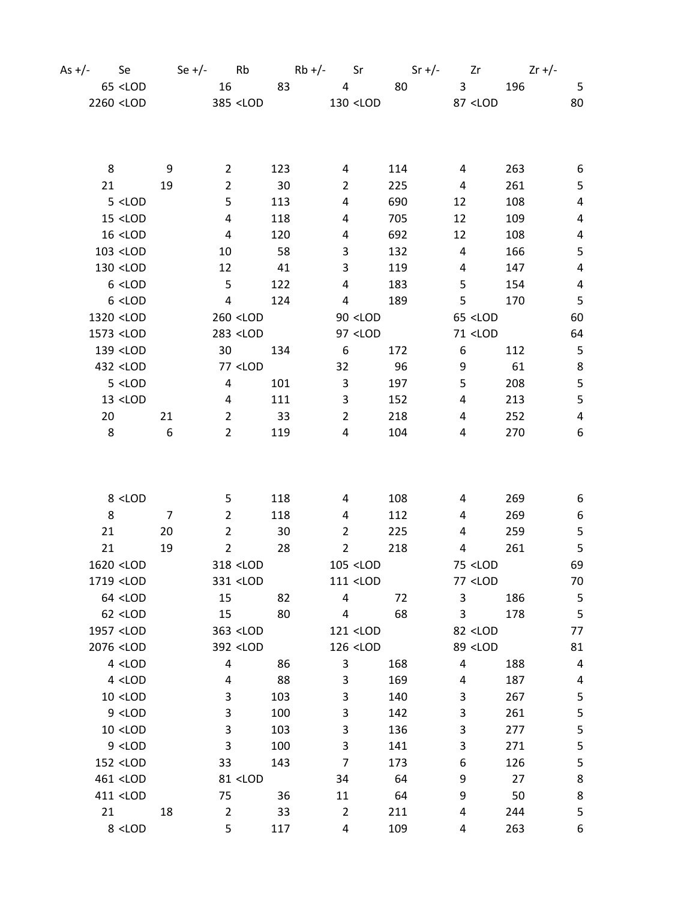| As $+/-$ | Se Se                                                                                                                                                                                                                                   | Se $+/-$ Rb    |                         |                                                                                                                                                                           |       |                 |                                                                                                            | $Rb+/-$ Sr Sr +/- Zr                                         |                         |                                              |     | $2r + 1$         |
|----------|-----------------------------------------------------------------------------------------------------------------------------------------------------------------------------------------------------------------------------------------|----------------|-------------------------|---------------------------------------------------------------------------------------------------------------------------------------------------------------------------|-------|-----------------|------------------------------------------------------------------------------------------------------------|--------------------------------------------------------------|-------------------------|----------------------------------------------|-----|------------------|
|          | $65$ <lod< td=""><td></td><td></td><td>16</td><td>83</td><td></td><td><math>\overline{4}</math></td><td>80</td><td></td><td><math>\overline{\mathbf{3}}</math></td><td>196</td><td><math>-5</math></td></lod<>                          |                |                         | 16                                                                                                                                                                        | 83    |                 | $\overline{4}$                                                                                             | 80                                                           |                         | $\overline{\mathbf{3}}$                      | 196 | $-5$             |
|          | 2260 <lod< td=""><td></td><td></td><td>385 <lod< td=""><td></td><td></td><td><math>130</math> <lod< td=""><td>87 <lod< td=""><td></td><td></td><td></td><td>80</td></lod<></td></lod<></td></lod<></td></lod<>                          |                |                         | 385 <lod< td=""><td></td><td></td><td><math>130</math> <lod< td=""><td>87 <lod< td=""><td></td><td></td><td></td><td>80</td></lod<></td></lod<></td></lod<>               |       |                 | $130$ <lod< td=""><td>87 <lod< td=""><td></td><td></td><td></td><td>80</td></lod<></td></lod<>             | 87 <lod< td=""><td></td><td></td><td></td><td>80</td></lod<> |                         |                                              |     | 80               |
|          |                                                                                                                                                                                                                                         |                |                         |                                                                                                                                                                           |       |                 |                                                                                                            |                                                              |                         |                                              |     |                  |
|          |                                                                                                                                                                                                                                         |                |                         |                                                                                                                                                                           |       |                 |                                                                                                            |                                                              |                         |                                              |     |                  |
|          | 8                                                                                                                                                                                                                                       | 9              | $\overline{2}$          |                                                                                                                                                                           | 123   | 4               |                                                                                                            | 114                                                          | 4                       |                                              | 263 | 6                |
|          | 21                                                                                                                                                                                                                                      | 19             | $\overline{2}$          |                                                                                                                                                                           | 30    | $\overline{2}$  |                                                                                                            | 225                                                          | $\overline{a}$          |                                              | 261 | 5                |
|          | 5 <lod< td=""><td></td><td>5</td><td></td><td>113</td><td>4</td><td></td><td>690</td><td>12</td><td></td><td>108</td><td><math>\overline{4}</math></td></lod<>                                                                          |                | 5                       |                                                                                                                                                                           | 113   | 4               |                                                                                                            | 690                                                          | 12                      |                                              | 108 | $\overline{4}$   |
|          | $15$ <lod< td=""><td></td><td>4</td><td></td><td>118</td><td>4</td><td></td><td>705</td><td>12</td><td></td><td>109</td><td>4</td></lod<>                                                                                               |                | 4                       |                                                                                                                                                                           | 118   | 4               |                                                                                                            | 705                                                          | 12                      |                                              | 109 | 4                |
|          | $16$ <lod< td=""><td></td><td><math>\overline{\mathbf{4}}</math></td><td></td><td>120</td><td>4</td><td></td><td>692</td><td>12</td><td></td><td>108</td><td>4</td></lod<>                                                              |                | $\overline{\mathbf{4}}$ |                                                                                                                                                                           | 120   | 4               |                                                                                                            | 692                                                          | 12                      |                                              | 108 | 4                |
|          | 103 <lod< td=""><td></td><td>10</td><td></td><td>58</td><td>3</td><td></td><td>132</td><td><math>\overline{4}</math></td><td></td><td>166</td><td><math>\overline{5}</math></td></lod<>                                                 |                | 10                      |                                                                                                                                                                           | 58    | 3               |                                                                                                            | 132                                                          | $\overline{4}$          |                                              | 166 | $\overline{5}$   |
|          | 130 <lod< td=""><td></td><td>12</td><td></td><td>41</td><td>3</td><td></td><td>119</td><td>4</td><td></td><td>147</td><td><math display="inline">\pmb{4}</math></td></lod<>                                                             |                | 12                      |                                                                                                                                                                           | 41    | 3               |                                                                                                            | 119                                                          | 4                       |                                              | 147 | $\pmb{4}$        |
|          | $6$ < LOD                                                                                                                                                                                                                               |                | 5                       |                                                                                                                                                                           | 122   | 4               |                                                                                                            | 183                                                          | 5                       |                                              | 154 | $\overline{4}$   |
|          | $6$ <lod< td=""><td></td><td><math>\overline{4}</math></td><td></td><td>124</td><td>4</td><td></td><td>189</td><td>5</td><td></td><td>170</td><td>5</td></lod<>                                                                         |                | $\overline{4}$          |                                                                                                                                                                           | 124   | 4               |                                                                                                            | 189                                                          | 5                       |                                              | 170 | 5                |
|          | 1320 <lod< td=""><td></td><td></td><td><math>260</math> <lod< td=""><td></td><td></td><td><math>90</math> <lod< td=""><td></td><td></td><td><math>65</math> <lod< td=""><td></td><td>60</td></lod<></td></lod<></td></lod<></td></lod<> |                |                         | $260$ <lod< td=""><td></td><td></td><td><math>90</math> <lod< td=""><td></td><td></td><td><math>65</math> <lod< td=""><td></td><td>60</td></lod<></td></lod<></td></lod<> |       |                 | $90$ <lod< td=""><td></td><td></td><td><math>65</math> <lod< td=""><td></td><td>60</td></lod<></td></lod<> |                                                              |                         | $65$ <lod< td=""><td></td><td>60</td></lod<> |     | 60               |
|          | 1573 <lod< td=""><td></td><td></td><td>283 <lod< td=""><td></td><td></td><td>97 <lod< td=""><td></td><td></td><td>71 &lt;<br/>LOD</td><td></td><td>64</td></lod<></td></lod<></td></lod<>                                               |                |                         | 283 <lod< td=""><td></td><td></td><td>97 <lod< td=""><td></td><td></td><td>71 &lt;<br/>LOD</td><td></td><td>64</td></lod<></td></lod<>                                    |       |                 | 97 <lod< td=""><td></td><td></td><td>71 &lt;<br/>LOD</td><td></td><td>64</td></lod<>                       |                                                              |                         | 71 <<br>LOD                                  |     | 64               |
|          | 139 <lod< td=""><td></td><td>30<sup>°</sup></td><td></td><td>134</td><td><math>6\overline{6}</math></td><td></td><td>172</td><td>6</td><td></td><td>112</td><td><math display="inline">\sqrt{5}</math></td></lod<>                      |                | 30 <sup>°</sup>         |                                                                                                                                                                           | 134   | $6\overline{6}$ |                                                                                                            | 172                                                          | 6                       |                                              | 112 | $\sqrt{5}$       |
|          | 432 <lod< td=""><td></td><td></td><td>77 &lt;<br/>LOD</td><td></td><td>32</td><td></td><td>96</td><td>9</td><td></td><td>61</td><td><math display="inline">\bf 8</math></td></lod<>                                                     |                |                         | 77 <<br>LOD                                                                                                                                                               |       | 32              |                                                                                                            | 96                                                           | 9                       |                                              | 61  | $\bf 8$          |
|          | 5 <lod< td=""><td></td><td><math>\overline{4}</math></td><td></td><td>101</td><td><math>\mathbf{3}</math></td><td></td><td>197</td><td>5</td><td></td><td>208</td><td><math display="inline">\mathsf S</math></td></lod<>               |                | $\overline{4}$          |                                                                                                                                                                           | 101   | $\mathbf{3}$    |                                                                                                            | 197                                                          | 5                       |                                              | 208 | $\mathsf S$      |
|          | $13$ <lod< td=""><td></td><td><math>\overline{a}</math></td><td></td><td>111</td><td>3</td><td></td><td>152</td><td>4</td><td></td><td>213</td><td>5</td></lod<>                                                                        |                | $\overline{a}$          |                                                                                                                                                                           | 111   | 3               |                                                                                                            | 152                                                          | 4                       |                                              | 213 | 5                |
|          | 20                                                                                                                                                                                                                                      | 21             | $\overline{2}$          |                                                                                                                                                                           | $-33$ | $\overline{2}$  |                                                                                                            | 218                                                          | 4                       |                                              | 252 | $\pmb{4}$        |
|          | 8                                                                                                                                                                                                                                       | 6              | $\overline{2}$          |                                                                                                                                                                           | 119   | 4               |                                                                                                            | 104                                                          | 4                       |                                              | 270 | 6                |
|          |                                                                                                                                                                                                                                         |                |                         |                                                                                                                                                                           |       |                 |                                                                                                            |                                                              |                         |                                              |     |                  |
|          |                                                                                                                                                                                                                                         |                |                         |                                                                                                                                                                           |       |                 |                                                                                                            |                                                              |                         |                                              |     |                  |
|          | 8 <lod< td=""><td></td><td>5</td><td></td><td>118</td><td>4</td><td></td><td>108</td><td>4</td><td></td><td>269</td><td>6</td></lod<>                                                                                                   |                | 5                       |                                                                                                                                                                           | 118   | 4               |                                                                                                            | 108                                                          | 4                       |                                              | 269 | 6                |
|          | 8                                                                                                                                                                                                                                       | $\overline{7}$ | $\overline{2}$          |                                                                                                                                                                           | 118   | 4               |                                                                                                            | 112                                                          | 4                       |                                              | 269 | $\boldsymbol{6}$ |
|          | 21                                                                                                                                                                                                                                      | 20             | $\overline{2}$          |                                                                                                                                                                           | 30    | $\overline{2}$  |                                                                                                            | 225                                                          | 4                       |                                              | 259 | 5                |
|          | 21                                                                                                                                                                                                                                      | 19             | $\overline{2}$          |                                                                                                                                                                           | 28    | $\overline{2}$  |                                                                                                            | 218                                                          | 4                       |                                              | 261 | $\mathsf S$      |
|          | 1620 <lod< td=""><td></td><td></td><td>318 <lod< td=""><td></td><td></td><td>105 <lod< td=""><td></td><td></td><td>75 <lod< td=""><td></td><td>69</td></lod<></td></lod<></td></lod<></td></lod<>                                       |                |                         | 318 <lod< td=""><td></td><td></td><td>105 <lod< td=""><td></td><td></td><td>75 <lod< td=""><td></td><td>69</td></lod<></td></lod<></td></lod<>                            |       |                 | 105 <lod< td=""><td></td><td></td><td>75 <lod< td=""><td></td><td>69</td></lod<></td></lod<>               |                                                              |                         | 75 <lod< td=""><td></td><td>69</td></lod<>   |     | 69               |
|          | 1719 <lod< td=""><td></td><td></td><td>331 <lod< td=""><td></td><td></td><td>111 <lod< td=""><td></td><td></td><td>77 <lod< td=""><td></td><td>70</td></lod<></td></lod<></td></lod<></td></lod<>                                       |                |                         | 331 <lod< td=""><td></td><td></td><td>111 <lod< td=""><td></td><td></td><td>77 <lod< td=""><td></td><td>70</td></lod<></td></lod<></td></lod<>                            |       |                 | 111 <lod< td=""><td></td><td></td><td>77 <lod< td=""><td></td><td>70</td></lod<></td></lod<>               |                                                              |                         | 77 <lod< td=""><td></td><td>70</td></lod<>   |     | 70               |
|          | 64 <lod< td=""><td></td><td>15</td><td></td><td>82</td><td>4</td><td></td><td>72</td><td>3</td><td></td><td>186</td><td><math display="inline">\mathsf S</math></td></lod<>                                                             |                | 15                      |                                                                                                                                                                           | 82    | 4               |                                                                                                            | 72                                                           | 3                       |                                              | 186 | $\mathsf S$      |
|          | $62$ <lod< td=""><td></td><td>15</td><td></td><td>80</td><td>4</td><td></td><td>68</td><td>3</td><td></td><td>178</td><td><math>\overline{5}</math></td></lod<>                                                                         |                | 15                      |                                                                                                                                                                           | 80    | 4               |                                                                                                            | 68                                                           | 3                       |                                              | 178 | $\overline{5}$   |
|          | 1957 <lod< td=""><td></td><td></td><td>363 <lod< td=""><td></td><td></td><td>121 <lod< td=""><td></td><td></td><td>82 <lod< td=""><td></td><td>77</td></lod<></td></lod<></td></lod<></td></lod<>                                       |                |                         | 363 <lod< td=""><td></td><td></td><td>121 <lod< td=""><td></td><td></td><td>82 <lod< td=""><td></td><td>77</td></lod<></td></lod<></td></lod<>                            |       |                 | 121 <lod< td=""><td></td><td></td><td>82 <lod< td=""><td></td><td>77</td></lod<></td></lod<>               |                                                              |                         | 82 <lod< td=""><td></td><td>77</td></lod<>   |     | 77               |
|          | 2076 <lod< td=""><td></td><td></td><td>392 <lod< td=""><td></td><td></td><td>126 <lod< td=""><td></td><td></td><td>89 <lod< td=""><td></td><td>81</td></lod<></td></lod<></td></lod<></td></lod<>                                       |                |                         | 392 <lod< td=""><td></td><td></td><td>126 <lod< td=""><td></td><td></td><td>89 <lod< td=""><td></td><td>81</td></lod<></td></lod<></td></lod<>                            |       |                 | 126 <lod< td=""><td></td><td></td><td>89 <lod< td=""><td></td><td>81</td></lod<></td></lod<>               |                                                              |                         | 89 <lod< td=""><td></td><td>81</td></lod<>   |     | 81               |
|          | $4$ < LOD                                                                                                                                                                                                                               |                | $\overline{\mathbf{r}}$ |                                                                                                                                                                           | 86    | 3               |                                                                                                            | 168                                                          | $\overline{\mathbf{4}}$ |                                              | 188 | 4                |
|          | $4$ < LOD                                                                                                                                                                                                                               |                | 4                       |                                                                                                                                                                           | 88    | 3               |                                                                                                            | 169                                                          | 4                       |                                              | 187 | 4                |
|          | $10$ <lod< td=""><td></td><td>3</td><td></td><td>103</td><td>3</td><td></td><td>140</td><td>3</td><td></td><td>267</td><td>5</td></lod<>                                                                                                |                | 3                       |                                                                                                                                                                           | 103   | 3               |                                                                                                            | 140                                                          | 3                       |                                              | 267 | 5                |
|          | $9$ < LOD                                                                                                                                                                                                                               |                | 3                       |                                                                                                                                                                           | 100   | 3               |                                                                                                            | 142                                                          | 3                       |                                              | 261 | 5                |
|          | $10$ <lod< td=""><td></td><td>3</td><td></td><td>103</td><td>3</td><td></td><td>136</td><td>3</td><td></td><td>277</td><td>5</td></lod<>                                                                                                |                | 3                       |                                                                                                                                                                           | 103   | 3               |                                                                                                            | 136                                                          | 3                       |                                              | 277 | 5                |
|          | $9$ < LOD                                                                                                                                                                                                                               |                | 3                       |                                                                                                                                                                           | 100   | 3               |                                                                                                            | 141                                                          | 3                       |                                              | 271 | 5                |
|          | 152 <lod< td=""><td></td><td>33</td><td></td><td>143</td><td>7</td><td></td><td>173</td><td>6</td><td></td><td>126</td><td>5</td></lod<>                                                                                                |                | 33                      |                                                                                                                                                                           | 143   | 7               |                                                                                                            | 173                                                          | 6                       |                                              | 126 | 5                |
|          | 461 <lod< td=""><td></td><td></td><td>81 &lt;<br/>LOD</td><td></td><td>34</td><td></td><td>64</td><td>9</td><td></td><td>27</td><td>8</td></lod<>                                                                                       |                |                         | 81 <<br>LOD                                                                                                                                                               |       | 34              |                                                                                                            | 64                                                           | 9                       |                                              | 27  | 8                |
|          | 411 <lod< td=""><td></td><td>75</td><td></td><td>36</td><td>11</td><td></td><td>64</td><td>9</td><td></td><td>50</td><td>8</td></lod<>                                                                                                  |                | 75                      |                                                                                                                                                                           | 36    | 11              |                                                                                                            | 64                                                           | 9                       |                                              | 50  | 8                |
|          | 21                                                                                                                                                                                                                                      | 18             | $\overline{2}$          |                                                                                                                                                                           | 33    | $\overline{2}$  |                                                                                                            | 211                                                          | 4                       |                                              | 244 | 5                |
|          | $8$ <lod< td=""><td></td><td>5</td><td></td><td>117</td><td>4</td><td></td><td>109</td><td>4</td><td></td><td>263</td><td>6</td></lod<>                                                                                                 |                | 5                       |                                                                                                                                                                           | 117   | 4               |                                                                                                            | 109                                                          | 4                       |                                              | 263 | 6                |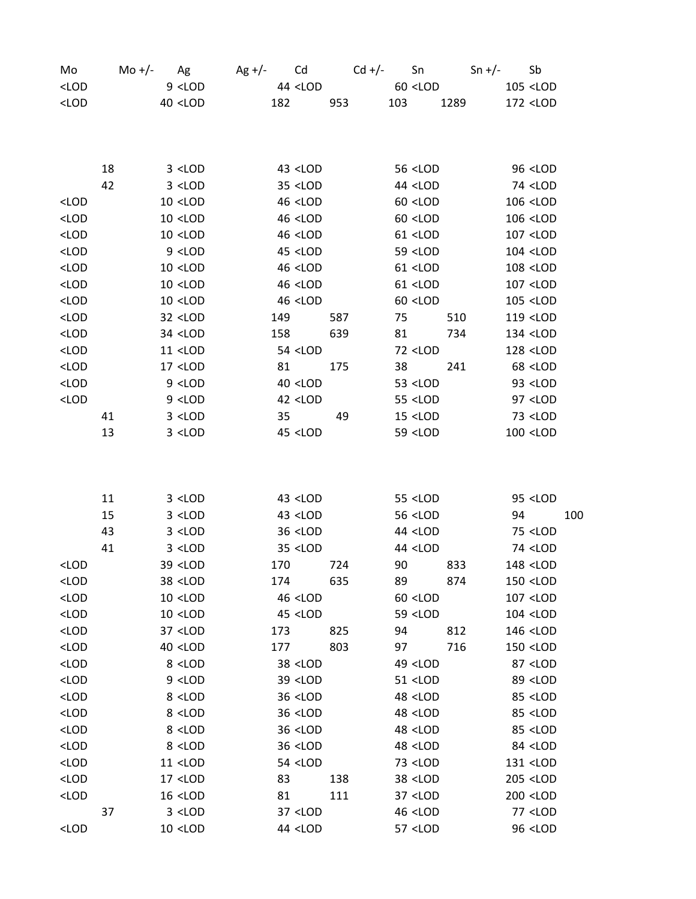| Mo                                                                                                                                                       |    | Mo +/- $Ag$                                                                                                                                                                 | $Ag +/-$ Cd                                                                                                                     |     | $Cd +/-$ Sn Sn +/- Sb                                                      |     |                                  |     |
|----------------------------------------------------------------------------------------------------------------------------------------------------------|----|-----------------------------------------------------------------------------------------------------------------------------------------------------------------------------|---------------------------------------------------------------------------------------------------------------------------------|-----|----------------------------------------------------------------------------|-----|----------------------------------|-----|
| $<$ LOD                                                                                                                                                  |    | $9$ <lod< td=""><td>44 <lod< td=""><td></td><td><math>60</math> <lod< td=""><td></td><td>105 <lod< td=""><td></td></lod<></td></lod<></td></lod<></td></lod<>               | 44 <lod< td=""><td></td><td><math>60</math> <lod< td=""><td></td><td>105 <lod< td=""><td></td></lod<></td></lod<></td></lod<>   |     | $60$ <lod< td=""><td></td><td>105 <lod< td=""><td></td></lod<></td></lod<> |     | 105 <lod< td=""><td></td></lod<> |     |
| $<$ LOD                                                                                                                                                  |    | $40$ <lod< td=""><td>182</td><td>953</td><td>103 1289</td><td></td><td>172 <lod< td=""><td></td></lod<></td></lod<>                                                         | 182                                                                                                                             | 953 | 103 1289                                                                   |     | 172 <lod< td=""><td></td></lod<> |     |
|                                                                                                                                                          |    |                                                                                                                                                                             |                                                                                                                                 |     |                                                                            |     |                                  |     |
|                                                                                                                                                          |    |                                                                                                                                                                             |                                                                                                                                 |     |                                                                            |     |                                  |     |
|                                                                                                                                                          |    |                                                                                                                                                                             |                                                                                                                                 |     |                                                                            |     |                                  |     |
|                                                                                                                                                          | 18 | $3$ < LOD                                                                                                                                                                   | 43 <lod< td=""><td></td><td>56 <lod< td=""><td></td><td>96 <lod< td=""><td></td></lod<></td></lod<></td></lod<>                 |     | 56 <lod< td=""><td></td><td>96 <lod< td=""><td></td></lod<></td></lod<>    |     | 96 <lod< td=""><td></td></lod<>  |     |
|                                                                                                                                                          | 42 | $3$ <lod< td=""><td><math>35</math> <lod< td=""><td></td><td>44 <lod< td=""><td></td><td>74 <lod< td=""><td></td></lod<></td></lod<></td></lod<></td></lod<>                | $35$ <lod< td=""><td></td><td>44 <lod< td=""><td></td><td>74 <lod< td=""><td></td></lod<></td></lod<></td></lod<>               |     | 44 <lod< td=""><td></td><td>74 <lod< td=""><td></td></lod<></td></lod<>    |     | 74 <lod< td=""><td></td></lod<>  |     |
| $<$ LOD                                                                                                                                                  |    | $10$ <lod< td=""><td><math>46</math> <lod< td=""><td></td><td><math>60</math> <lod< td=""><td></td><td>106 <lod< td=""><td></td></lod<></td></lod<></td></lod<></td></lod<> | $46$ <lod< td=""><td></td><td><math>60</math> <lod< td=""><td></td><td>106 <lod< td=""><td></td></lod<></td></lod<></td></lod<> |     | $60$ <lod< td=""><td></td><td>106 <lod< td=""><td></td></lod<></td></lod<> |     | 106 <lod< td=""><td></td></lod<> |     |
| $<$ LOD                                                                                                                                                  |    | $10$ <lod< td=""><td>46 <lod< td=""><td></td><td><math>60</math> <lod< td=""><td></td><td>106 <lod< td=""><td></td></lod<></td></lod<></td></lod<></td></lod<>              | 46 <lod< td=""><td></td><td><math>60</math> <lod< td=""><td></td><td>106 <lod< td=""><td></td></lod<></td></lod<></td></lod<>   |     | $60$ <lod< td=""><td></td><td>106 <lod< td=""><td></td></lod<></td></lod<> |     | 106 <lod< td=""><td></td></lod<> |     |
| $<$ LOD                                                                                                                                                  |    | $10$ <lod< td=""><td><math>46</math> <lod< td=""><td></td><td><math>61</math> <lod< td=""><td></td><td>107 <lod< td=""><td></td></lod<></td></lod<></td></lod<></td></lod<> | $46$ <lod< td=""><td></td><td><math>61</math> <lod< td=""><td></td><td>107 <lod< td=""><td></td></lod<></td></lod<></td></lod<> |     | $61$ <lod< td=""><td></td><td>107 <lod< td=""><td></td></lod<></td></lod<> |     | 107 <lod< td=""><td></td></lod<> |     |
| $<$ LOD                                                                                                                                                  |    | $9$ <lod< td=""><td>45 <lod< td=""><td></td><td>59 <lod< td=""><td></td><td>104 <lod< td=""><td></td></lod<></td></lod<></td></lod<></td></lod<>                            | 45 <lod< td=""><td></td><td>59 <lod< td=""><td></td><td>104 <lod< td=""><td></td></lod<></td></lod<></td></lod<>                |     | 59 <lod< td=""><td></td><td>104 <lod< td=""><td></td></lod<></td></lod<>   |     | 104 <lod< td=""><td></td></lod<> |     |
| $<$ LOD                                                                                                                                                  |    | $10$ <lod< td=""><td><math>46</math> &lt; LOD</td><td></td><td>61 &lt;<br/>LOD</td><td></td><td>108 <lod< td=""><td></td></lod<></td></lod<>                                | $46$ < LOD                                                                                                                      |     | 61 <<br>LOD                                                                |     | 108 <lod< td=""><td></td></lod<> |     |
| $<$ LOD                                                                                                                                                  |    | $10$ <lod< td=""><td><math>46</math> <lod< td=""><td></td><td><math>61</math> <lod< td=""><td></td><td>107 <lod< td=""><td></td></lod<></td></lod<></td></lod<></td></lod<> | $46$ <lod< td=""><td></td><td><math>61</math> <lod< td=""><td></td><td>107 <lod< td=""><td></td></lod<></td></lod<></td></lod<> |     | $61$ <lod< td=""><td></td><td>107 <lod< td=""><td></td></lod<></td></lod<> |     | 107 <lod< td=""><td></td></lod<> |     |
| $<$ LOD                                                                                                                                                  |    | $10$ <lod< td=""><td><math>46</math> <lod< td=""><td></td><td><math>60</math> <lod< td=""><td></td><td>105 <lod< td=""><td></td></lod<></td></lod<></td></lod<></td></lod<> | $46$ <lod< td=""><td></td><td><math>60</math> <lod< td=""><td></td><td>105 <lod< td=""><td></td></lod<></td></lod<></td></lod<> |     | $60$ <lod< td=""><td></td><td>105 <lod< td=""><td></td></lod<></td></lod<> |     | 105 <lod< td=""><td></td></lod<> |     |
| $<$ LOD                                                                                                                                                  |    | 32 <lod< td=""><td>149</td><td>587</td><td>75</td><td>510</td><td>119 <lod< td=""><td></td></lod<></td></lod<>                                                              | 149                                                                                                                             | 587 | 75                                                                         | 510 | 119 <lod< td=""><td></td></lod<> |     |
| $<$ LOD                                                                                                                                                  |    | 34 <lod< td=""><td>158</td><td>639</td><td>81</td><td>734</td><td>134 <lod< td=""><td></td></lod<></td></lod<>                                                              | 158                                                                                                                             | 639 | 81                                                                         | 734 | 134 <lod< td=""><td></td></lod<> |     |
| $<$ LOD                                                                                                                                                  |    | $11$ <lod< td=""><td>54 <lod< td=""><td></td><td>72 <lod< td=""><td></td><td>128 <lod< td=""><td></td></lod<></td></lod<></td></lod<></td></lod<>                           | 54 <lod< td=""><td></td><td>72 <lod< td=""><td></td><td>128 <lod< td=""><td></td></lod<></td></lod<></td></lod<>                |     | 72 <lod< td=""><td></td><td>128 <lod< td=""><td></td></lod<></td></lod<>   |     | 128 <lod< td=""><td></td></lod<> |     |
| $<$ LOD                                                                                                                                                  |    | $17$ <lod< td=""><td>81</td><td>175</td><td>38</td><td>241</td><td>68 <lod< td=""><td></td></lod<></td></lod<>                                                              | 81                                                                                                                              | 175 | 38                                                                         | 241 | 68 <lod< td=""><td></td></lod<>  |     |
| $<$ LOD                                                                                                                                                  |    | $9$ < LOD                                                                                                                                                                   | $40$ <lod< td=""><td></td><td><math>53</math> <lod< td=""><td></td><td>93 <lod< td=""><td></td></lod<></td></lod<></td></lod<>  |     | $53$ <lod< td=""><td></td><td>93 <lod< td=""><td></td></lod<></td></lod<>  |     | 93 <lod< td=""><td></td></lod<>  |     |
| $<$ LOD                                                                                                                                                  |    | $9$ <lod< td=""><td><math>42</math> <lod< td=""><td></td><td><math>55</math> &lt; LOD</td><td></td><td>97 <lod< td=""><td></td></lod<></td></lod<></td></lod<>              | $42$ <lod< td=""><td></td><td><math>55</math> &lt; LOD</td><td></td><td>97 <lod< td=""><td></td></lod<></td></lod<>             |     | $55$ < LOD                                                                 |     | 97 <lod< td=""><td></td></lod<>  |     |
|                                                                                                                                                          | 41 | $3$ <lod< td=""><td><math>35 - 2</math></td><td>49</td><td><math>15</math> &lt; LOD</td><td></td><td>73 <lod< td=""><td></td></lod<></td></lod<>                            | $35 - 2$                                                                                                                        | 49  | $15$ < LOD                                                                 |     | 73 <lod< td=""><td></td></lod<>  |     |
|                                                                                                                                                          | 13 | $3$ <lod< td=""><td><math>45</math> &lt; LOD</td><td></td><td>59 <lod< td=""><td></td><td>100 <lod< td=""><td></td></lod<></td></lod<></td></lod<>                          | $45$ < LOD                                                                                                                      |     | 59 <lod< td=""><td></td><td>100 <lod< td=""><td></td></lod<></td></lod<>   |     | 100 <lod< td=""><td></td></lod<> |     |
|                                                                                                                                                          |    |                                                                                                                                                                             |                                                                                                                                 |     |                                                                            |     |                                  |     |
|                                                                                                                                                          |    |                                                                                                                                                                             |                                                                                                                                 |     |                                                                            |     |                                  |     |
|                                                                                                                                                          | 11 | $3$ <lod< td=""><td>43 <lod< td=""><td></td><td>55 <lod< td=""><td></td><td>95 <lod< td=""><td></td></lod<></td></lod<></td></lod<></td></lod<>                             | 43 <lod< td=""><td></td><td>55 <lod< td=""><td></td><td>95 <lod< td=""><td></td></lod<></td></lod<></td></lod<>                 |     | 55 <lod< td=""><td></td><td>95 <lod< td=""><td></td></lod<></td></lod<>    |     | 95 <lod< td=""><td></td></lod<>  |     |
|                                                                                                                                                          | 15 | $3$ <lod< td=""><td><math>43</math> &lt; LOD</td><td></td><td>56 <lod< td=""><td></td><td>94</td><td>100</td></lod<></td></lod<>                                            | $43$ < LOD                                                                                                                      |     | 56 <lod< td=""><td></td><td>94</td><td>100</td></lod<>                     |     | 94                               | 100 |
|                                                                                                                                                          | 43 | $3$ <lod< td=""><td><math>36</math> <lod< td=""><td></td><td>44 <lod< td=""><td></td><td>75 <lod< td=""><td></td></lod<></td></lod<></td></lod<></td></lod<>                | $36$ <lod< td=""><td></td><td>44 <lod< td=""><td></td><td>75 <lod< td=""><td></td></lod<></td></lod<></td></lod<>               |     | 44 <lod< td=""><td></td><td>75 <lod< td=""><td></td></lod<></td></lod<>    |     | 75 <lod< td=""><td></td></lod<>  |     |
|                                                                                                                                                          | 41 | $3$ <lod< td=""><td><math>35</math> <lod< td=""><td></td><td>44 <lod< td=""><td></td><td>74 <lod< td=""><td></td></lod<></td></lod<></td></lod<></td></lod<>                | $35$ <lod< td=""><td></td><td>44 <lod< td=""><td></td><td>74 <lod< td=""><td></td></lod<></td></lod<></td></lod<>               |     | 44 <lod< td=""><td></td><td>74 <lod< td=""><td></td></lod<></td></lod<>    |     | 74 <lod< td=""><td></td></lod<>  |     |
| <lod< td=""><td></td><td>39 <lod< td=""><td>170</td><td>724</td><td>90<br/>833</td><td></td><td>148 <lod< td=""><td></td></lod<></td></lod<></td></lod<> |    | 39 <lod< td=""><td>170</td><td>724</td><td>90<br/>833</td><td></td><td>148 <lod< td=""><td></td></lod<></td></lod<>                                                         | 170                                                                                                                             | 724 | 90<br>833                                                                  |     | 148 <lod< td=""><td></td></lod<> |     |
| <lod< td=""><td></td><td>38 <lod< td=""><td>174</td><td>635</td><td>89</td><td>874</td><td>150 <lod< td=""><td></td></lod<></td></lod<></td></lod<>      |    | 38 <lod< td=""><td>174</td><td>635</td><td>89</td><td>874</td><td>150 <lod< td=""><td></td></lod<></td></lod<>                                                              | 174                                                                                                                             | 635 | 89                                                                         | 874 | 150 <lod< td=""><td></td></lod<> |     |
| $<$ LOD                                                                                                                                                  |    | $10$ <lod< td=""><td>46 <lod< td=""><td></td><td><math>60</math> <lod< td=""><td></td><td>107 <lod< td=""><td></td></lod<></td></lod<></td></lod<></td></lod<>              | 46 <lod< td=""><td></td><td><math>60</math> <lod< td=""><td></td><td>107 <lod< td=""><td></td></lod<></td></lod<></td></lod<>   |     | $60$ <lod< td=""><td></td><td>107 <lod< td=""><td></td></lod<></td></lod<> |     | 107 <lod< td=""><td></td></lod<> |     |
| $<$ LOD                                                                                                                                                  |    | $10$ <lod< td=""><td>45 <lod< td=""><td></td><td>59 <lod< td=""><td></td><td>104 <lod< td=""><td></td></lod<></td></lod<></td></lod<></td></lod<>                           | 45 <lod< td=""><td></td><td>59 <lod< td=""><td></td><td>104 <lod< td=""><td></td></lod<></td></lod<></td></lod<>                |     | 59 <lod< td=""><td></td><td>104 <lod< td=""><td></td></lod<></td></lod<>   |     | 104 <lod< td=""><td></td></lod<> |     |
| $<$ LOD                                                                                                                                                  |    | 37 <lod< td=""><td>173</td><td>825</td><td>94</td><td>812</td><td>146 <lod< td=""><td></td></lod<></td></lod<>                                                              | 173                                                                                                                             | 825 | 94                                                                         | 812 | 146 <lod< td=""><td></td></lod<> |     |
| $<$ LOD                                                                                                                                                  |    | 40 <lod< td=""><td>177</td><td>803</td><td>97</td><td>716</td><td>150 <lod< td=""><td></td></lod<></td></lod<>                                                              | 177                                                                                                                             | 803 | 97                                                                         | 716 | 150 <lod< td=""><td></td></lod<> |     |
| $<$ LOD                                                                                                                                                  |    | 8 <lod< td=""><td>38 <lod< td=""><td></td><td>49 <lod< td=""><td></td><td>87 <lod< td=""><td></td></lod<></td></lod<></td></lod<></td></lod<>                               | 38 <lod< td=""><td></td><td>49 <lod< td=""><td></td><td>87 <lod< td=""><td></td></lod<></td></lod<></td></lod<>                 |     | 49 <lod< td=""><td></td><td>87 <lod< td=""><td></td></lod<></td></lod<>    |     | 87 <lod< td=""><td></td></lod<>  |     |
| $<$ LOD                                                                                                                                                  |    | $9$ <lod< td=""><td>39 <lod< td=""><td></td><td>51 <lod< td=""><td></td><td>89 <lod< td=""><td></td></lod<></td></lod<></td></lod<></td></lod<>                             | 39 <lod< td=""><td></td><td>51 <lod< td=""><td></td><td>89 <lod< td=""><td></td></lod<></td></lod<></td></lod<>                 |     | 51 <lod< td=""><td></td><td>89 <lod< td=""><td></td></lod<></td></lod<>    |     | 89 <lod< td=""><td></td></lod<>  |     |
| $<$ LOD                                                                                                                                                  |    | 8 <lod< td=""><td>36 <lod< td=""><td></td><td>48 <lod< td=""><td></td><td>85 <lod< td=""><td></td></lod<></td></lod<></td></lod<></td></lod<>                               | 36 <lod< td=""><td></td><td>48 <lod< td=""><td></td><td>85 <lod< td=""><td></td></lod<></td></lod<></td></lod<>                 |     | 48 <lod< td=""><td></td><td>85 <lod< td=""><td></td></lod<></td></lod<>    |     | 85 <lod< td=""><td></td></lod<>  |     |
| $<$ LOD                                                                                                                                                  |    | 8 <lod< td=""><td>36 <lod< td=""><td></td><td>48 <lod< td=""><td></td><td>85 <lod< td=""><td></td></lod<></td></lod<></td></lod<></td></lod<>                               | 36 <lod< td=""><td></td><td>48 <lod< td=""><td></td><td>85 <lod< td=""><td></td></lod<></td></lod<></td></lod<>                 |     | 48 <lod< td=""><td></td><td>85 <lod< td=""><td></td></lod<></td></lod<>    |     | 85 <lod< td=""><td></td></lod<>  |     |
| $<$ LOD                                                                                                                                                  |    | 8 <lod< td=""><td>36 <lod< td=""><td></td><td>48 <lod< td=""><td></td><td>85 <lod< td=""><td></td></lod<></td></lod<></td></lod<></td></lod<>                               | 36 <lod< td=""><td></td><td>48 <lod< td=""><td></td><td>85 <lod< td=""><td></td></lod<></td></lod<></td></lod<>                 |     | 48 <lod< td=""><td></td><td>85 <lod< td=""><td></td></lod<></td></lod<>    |     | 85 <lod< td=""><td></td></lod<>  |     |
| $<$ LOD                                                                                                                                                  |    | 8 <lod< td=""><td>36 <lod< td=""><td></td><td>48 <lod< td=""><td></td><td>84 <lod< td=""><td></td></lod<></td></lod<></td></lod<></td></lod<>                               | 36 <lod< td=""><td></td><td>48 <lod< td=""><td></td><td>84 <lod< td=""><td></td></lod<></td></lod<></td></lod<>                 |     | 48 <lod< td=""><td></td><td>84 <lod< td=""><td></td></lod<></td></lod<>    |     | 84 <lod< td=""><td></td></lod<>  |     |
| $<$ LOD                                                                                                                                                  |    | 11 <lod< td=""><td>54 <lod< td=""><td></td><td>73 <lod< td=""><td></td><td>131 <lod< td=""><td></td></lod<></td></lod<></td></lod<></td></lod<>                             | 54 <lod< td=""><td></td><td>73 <lod< td=""><td></td><td>131 <lod< td=""><td></td></lod<></td></lod<></td></lod<>                |     | 73 <lod< td=""><td></td><td>131 <lod< td=""><td></td></lod<></td></lod<>   |     | 131 <lod< td=""><td></td></lod<> |     |
| $<$ LOD                                                                                                                                                  |    | 17 <lod< td=""><td>83</td><td>138</td><td>38 <lod< td=""><td></td><td>205 <lod< td=""><td></td></lod<></td></lod<></td></lod<>                                              | 83                                                                                                                              | 138 | 38 <lod< td=""><td></td><td>205 <lod< td=""><td></td></lod<></td></lod<>   |     | 205 <lod< td=""><td></td></lod<> |     |
| $<$ LOD                                                                                                                                                  |    | $16$ <lod< td=""><td>81</td><td>111</td><td>37 <lod< td=""><td></td><td>200 <lod< td=""><td></td></lod<></td></lod<></td></lod<>                                            | 81                                                                                                                              | 111 | 37 <lod< td=""><td></td><td>200 <lod< td=""><td></td></lod<></td></lod<>   |     | 200 <lod< td=""><td></td></lod<> |     |
|                                                                                                                                                          | 37 | $3$ <lod< td=""><td>37 <lod< td=""><td></td><td>46 <lod< td=""><td></td><td>77 <lod< td=""><td></td></lod<></td></lod<></td></lod<></td></lod<>                             | 37 <lod< td=""><td></td><td>46 <lod< td=""><td></td><td>77 <lod< td=""><td></td></lod<></td></lod<></td></lod<>                 |     | 46 <lod< td=""><td></td><td>77 <lod< td=""><td></td></lod<></td></lod<>    |     | 77 <lod< td=""><td></td></lod<>  |     |
| $<$ LOD                                                                                                                                                  |    | $10$ <lod< td=""><td>44 <lod< td=""><td></td><td>57 <lod< td=""><td></td><td>96 <lod< td=""><td></td></lod<></td></lod<></td></lod<></td></lod<>                            | 44 <lod< td=""><td></td><td>57 <lod< td=""><td></td><td>96 <lod< td=""><td></td></lod<></td></lod<></td></lod<>                 |     | 57 <lod< td=""><td></td><td>96 <lod< td=""><td></td></lod<></td></lod<>    |     | 96 <lod< td=""><td></td></lod<>  |     |
|                                                                                                                                                          |    |                                                                                                                                                                             |                                                                                                                                 |     |                                                                            |     |                                  |     |